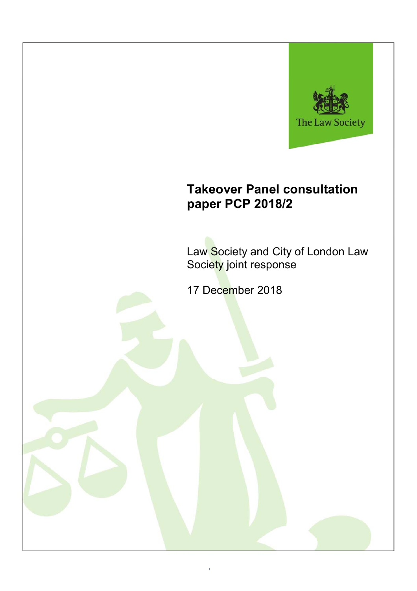

# **Takeover Panel consultation paper PCP 2018/2**

Law Society and City of London Law Society joint response

17 December 2018

1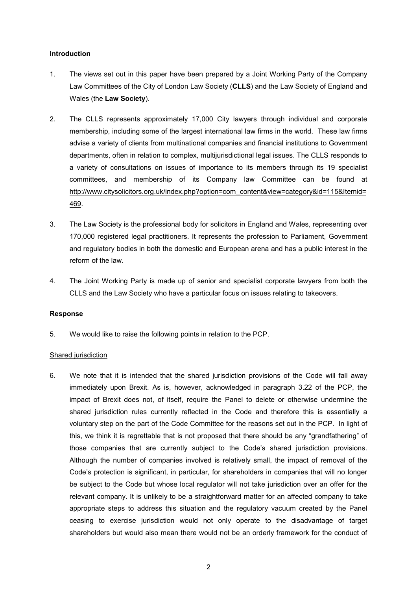#### **Introduction**

- 1. The views set out in this paper have been prepared by a Joint Working Party of the Company Law Committees of the City of London Law Society (**CLLS**) and the Law Society of England and Wales (the **Law Society**).
- 2. The CLLS represents approximately 17,000 City lawyers through individual and corporate membership, including some of the largest international law firms in the world. These law firms advise a variety of clients from multinational companies and financial institutions to Government departments, often in relation to complex, multijurisdictional legal issues. The CLLS responds to a variety of consultations on issues of importance to its members through its 19 specialist committees, and membership of its Company law Committee can be found at http://www.citysolicitors.org.uk/index.php?option=com\_content&view=category&id=115&Itemid= 469.
- 3. The Law Society is the professional body for solicitors in England and Wales, representing over 170,000 registered legal practitioners. It represents the profession to Parliament, Government and regulatory bodies in both the domestic and European arena and has a public interest in the reform of the law.
- 4. The Joint Working Party is made up of senior and specialist corporate lawyers from both the CLLS and the Law Society who have a particular focus on issues relating to takeovers.

#### **Response**

5. We would like to raise the following points in relation to the PCP.

#### Shared jurisdiction

6. We note that it is intended that the shared jurisdiction provisions of the Code will fall away immediately upon Brexit. As is, however, acknowledged in paragraph 3.22 of the PCP, the impact of Brexit does not, of itself, require the Panel to delete or otherwise undermine the shared jurisdiction rules currently reflected in the Code and therefore this is essentially a voluntary step on the part of the Code Committee for the reasons set out in the PCP. In light of this, we think it is regrettable that is not proposed that there should be any "grandfathering" of those companies that are currently subject to the Code's shared jurisdiction provisions. Although the number of companies involved is relatively small, the impact of removal of the Code's protection is significant, in particular, for shareholders in companies that will no longer be subject to the Code but whose local regulator will not take jurisdiction over an offer for the relevant company. It is unlikely to be a straightforward matter for an affected company to take appropriate steps to address this situation and the regulatory vacuum created by the Panel ceasing to exercise jurisdiction would not only operate to the disadvantage of target shareholders but would also mean there would not be an orderly framework for the conduct of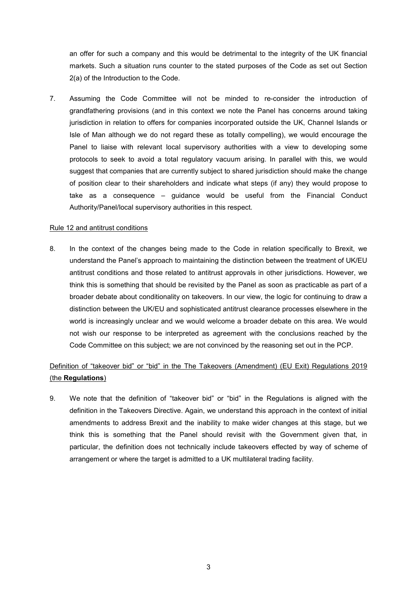an offer for such a company and this would be detrimental to the integrity of the UK financial markets. Such a situation runs counter to the stated purposes of the Code as set out Section 2(a) of the Introduction to the Code.

7. Assuming the Code Committee will not be minded to re-consider the introduction of grandfathering provisions (and in this context we note the Panel has concerns around taking jurisdiction in relation to offers for companies incorporated outside the UK, Channel Islands or Isle of Man although we do not regard these as totally compelling), we would encourage the Panel to liaise with relevant local supervisory authorities with a view to developing some protocols to seek to avoid a total regulatory vacuum arising. In parallel with this, we would suggest that companies that are currently subject to shared jurisdiction should make the change of position clear to their shareholders and indicate what steps (if any) they would propose to take as a consequence – guidance would be useful from the Financial Conduct Authority/Panel/local supervisory authorities in this respect.

#### Rule 12 and antitrust conditions

8. In the context of the changes being made to the Code in relation specifically to Brexit, we understand the Panel's approach to maintaining the distinction between the treatment of UK/EU antitrust conditions and those related to antitrust approvals in other jurisdictions. However, we think this is something that should be revisited by the Panel as soon as practicable as part of a broader debate about conditionality on takeovers. In our view, the logic for continuing to draw a distinction between the UK/EU and sophisticated antitrust clearance processes elsewhere in the world is increasingly unclear and we would welcome a broader debate on this area. We would not wish our response to be interpreted as agreement with the conclusions reached by the Code Committee on this subject; we are not convinced by the reasoning set out in the PCP.

## Definition of "takeover bid" or "bid" in the The Takeovers (Amendment) (EU Exit) Regulations 2019 (the **Regulations**)

9. We note that the definition of "takeover bid" or "bid" in the Regulations is aligned with the definition in the Takeovers Directive. Again, we understand this approach in the context of initial amendments to address Brexit and the inability to make wider changes at this stage, but we think this is something that the Panel should revisit with the Government given that, in particular, the definition does not technically include takeovers effected by way of scheme of arrangement or where the target is admitted to a UK multilateral trading facility.